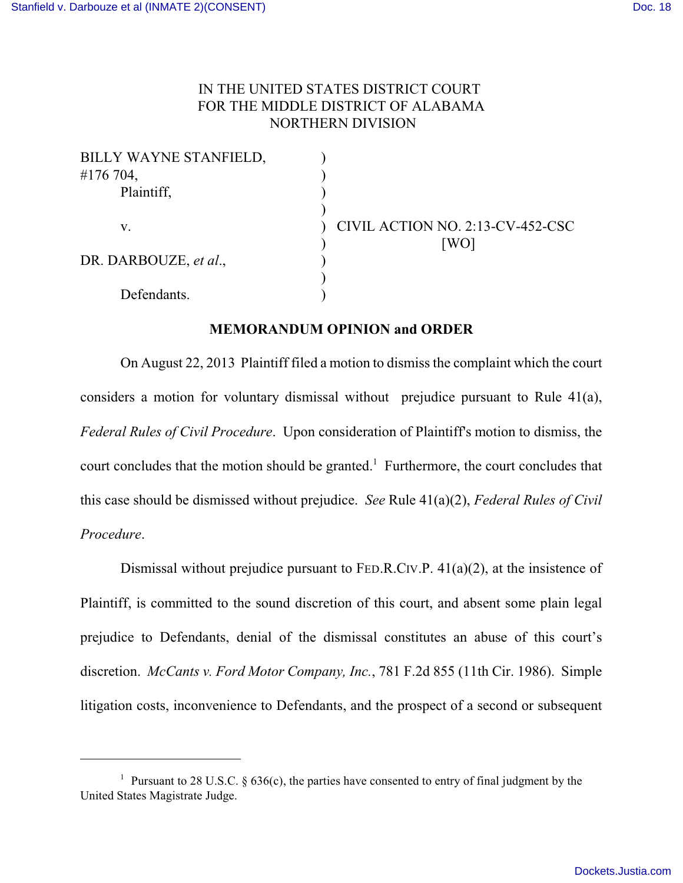## IN THE UNITED STATES DISTRICT COURT FOR THE MIDDLE DISTRICT OF ALABAMA NORTHERN DIVISION

| BILLY WAYNE STANFIELD, |                                  |
|------------------------|----------------------------------|
| #176 704,              |                                  |
| Plaintiff,             |                                  |
|                        |                                  |
| V.                     | CIVIL ACTION NO. 2:13-CV-452-CSC |
|                        | [WO]                             |
| DR. DARBOUZE, et al.,  |                                  |
|                        |                                  |
| Defendants.            |                                  |

## **MEMORANDUM OPINION and ORDER**

On August 22, 2013 Plaintiff filed a motion to dismiss the complaint which the court considers a motion for voluntary dismissal without prejudice pursuant to Rule 41(a), *Federal Rules of Civil Procedure.* Upon consideration of Plaintiff's motion to dismiss, the court concludes that the motion should be granted.<sup>1</sup> Furthermore, the court concludes that this case should be dismissed without prejudice. *See* Rule 41(a)(2), *Federal Rules of Civil Procedure*.

Dismissal without prejudice pursuant to FED.R.CIV.P. 41(a)(2), at the insistence of Plaintiff, is committed to the sound discretion of this court, and absent some plain legal prejudice to Defendants, denial of the dismissal constitutes an abuse of this court's discretion. *McCants v. Ford Motor Company, Inc.*, 781 F.2d 855 (11th Cir. 1986). Simple litigation costs, inconvenience to Defendants, and the prospect of a second or subsequent

<sup>&</sup>lt;sup>1</sup> Pursuant to 28 U.S.C. § 636(c), the parties have consented to entry of final judgment by the United States Magistrate Judge.